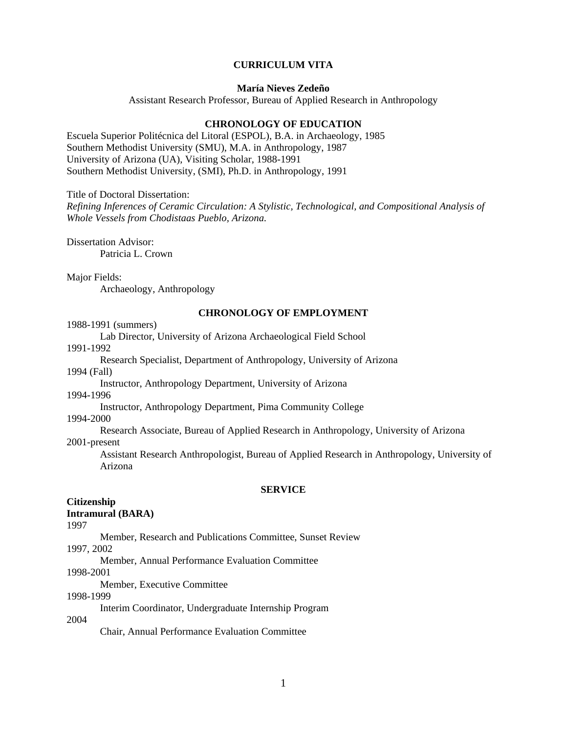## **CURRICULUM VITA**

# **María Nieves Zedeño**

Assistant Research Professor, Bureau of Applied Research in Anthropology

## **CHRONOLOGY OF EDUCATION**

Escuela Superior Politécnica del Litoral (ESPOL), B.A. in Archaeology, 1985 Southern Methodist University (SMU), M.A. in Anthropology, 1987 University of Arizona (UA), Visiting Scholar, 1988-1991 Southern Methodist University, (SMI), Ph.D. in Anthropology, 1991

Title of Doctoral Dissertation:

*Refining Inferences of Ceramic Circulation: A Stylistic, Technological, and Compositional Analysis of Whole Vessels from Chodistaas Pueblo, Arizona.*

Dissertation Advisor: Patricia L. Crown

Major Fields: Archaeology, Anthropology

#### **CHRONOLOGY OF EMPLOYMENT**

1988-1991 (summers)

Lab Director, University of Arizona Archaeological Field School 1991-1992

Research Specialist, Department of Anthropology, University of Arizona

1994 (Fall)

Instructor, Anthropology Department, University of Arizona

1994-1996

Instructor, Anthropology Department, Pima Community College

1994-2000

 Research Associate, Bureau of Applied Research in Anthropology, University of Arizona 2001-present

Assistant Research Anthropologist, Bureau of Applied Research in Anthropology, University of Arizona

#### **SERVICE**

# **Citizenship**

# **Intramural (BARA)**

1997

Member, Research and Publications Committee, Sunset Review

1997, 2002

Member, Annual Performance Evaluation Committee

1998-2001

Member, Executive Committee

## 1998-1999

Interim Coordinator, Undergraduate Internship Program

## 2004

Chair, Annual Performance Evaluation Committee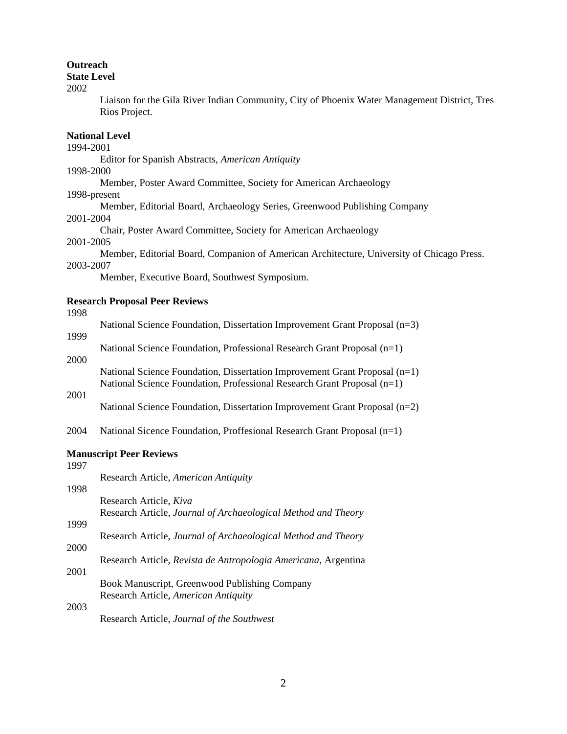## **Outreach**

## **State Level**

2002

Liaison for the Gila River Indian Community, City of Phoenix Water Management District, Tres Rios Project.

# **National Level**

#### 1994-2001

Editor for Spanish Abstracts, *American Antiquity* 

#### 1998-2000

Member, Poster Award Committee, Society for American Archaeology

### 1998-present

Member, Editorial Board, Archaeology Series, Greenwood Publishing Company

### 2001-2004

Chair, Poster Award Committee, Society for American Archaeology

# 2001-2005

Member, Editorial Board, Companion of American Architecture, University of Chicago Press.

## 2003-2007

Member, Executive Board, Southwest Symposium.

# **Research Proposal Peer Reviews**

# 1998

| .    | National Science Foundation, Dissertation Improvement Grant Proposal (n=3) |
|------|----------------------------------------------------------------------------|
| 1999 |                                                                            |
|      | National Science Foundation, Professional Research Grant Proposal (n=1)    |
| 2000 |                                                                            |
|      | National Science Foundation, Dissertation Improvement Grant Proposal (n=1) |
|      | National Science Foundation, Professional Research Grant Proposal $(n=1)$  |
| 2001 |                                                                            |

National Science Foundation, Dissertation Improvement Grant Proposal (n=2)

2004 National Sicence Foundation, Proffesional Research Grant Proposal (n=1)

# **Manuscript Peer Reviews**

| 1997 |                                                                |
|------|----------------------------------------------------------------|
|      | Research Article, American Antiquity                           |
| 1998 |                                                                |
|      | Research Article, Kiva                                         |
|      | Research Article, Journal of Archaeological Method and Theory  |
| 1999 |                                                                |
|      | Research Article, Journal of Archaeological Method and Theory  |
| 2000 |                                                                |
|      | Research Article, Revista de Antropologia Americana, Argentina |
| 2001 |                                                                |
|      | Book Manuscript, Greenwood Publishing Company                  |
|      | Research Article, American Antiquity                           |
| 2003 |                                                                |
|      | Research Article, Journal of the Southwest                     |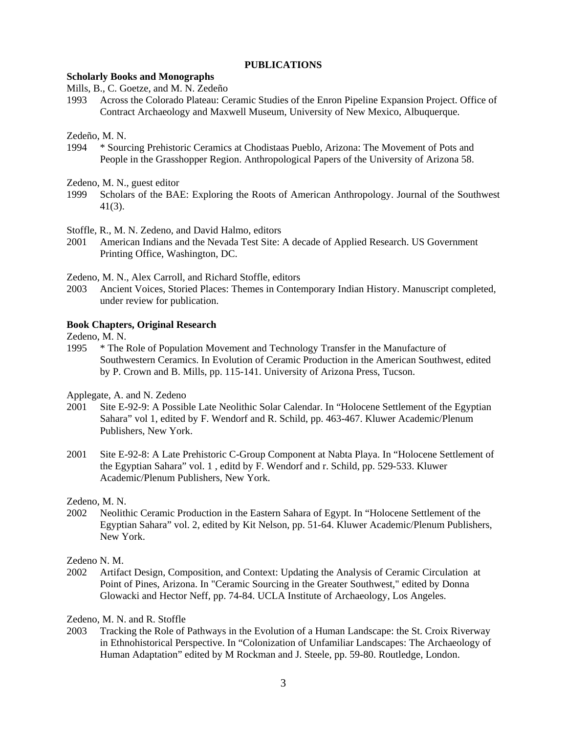## **PUBLICATIONS**

# **Scholarly Books and Monographs**

Mills, B., C. Goetze, and M. N. Zedeño

1993 Across the Colorado Plateau: Ceramic Studies of the Enron Pipeline Expansion Project. Office of Contract Archaeology and Maxwell Museum, University of New Mexico, Albuquerque.

### Zedeño, M. N.

- 1994 \* Sourcing Prehistoric Ceramics at Chodistaas Pueblo, Arizona: The Movement of Pots and People in the Grasshopper Region. Anthropological Papers of the University of Arizona 58.
- Zedeno, M. N., guest editor
- 1999 Scholars of the BAE: Exploring the Roots of American Anthropology. Journal of the Southwest 41(3).

Stoffle, R., M. N. Zedeno, and David Halmo, editors

2001 American Indians and the Nevada Test Site: A decade of Applied Research. US Government Printing Office, Washington, DC.

Zedeno, M. N., Alex Carroll, and Richard Stoffle, editors

2003 Ancient Voices, Storied Places: Themes in Contemporary Indian History. Manuscript completed, under review for publication.

# **Book Chapters, Original Research**

Zedeno, M. N.

1995 \* The Role of Population Movement and Technology Transfer in the Manufacture of Southwestern Ceramics. In Evolution of Ceramic Production in the American Southwest, edited by P. Crown and B. Mills, pp. 115-141. University of Arizona Press, Tucson.

Applegate, A. and N. Zedeno

- 2001 Site E-92-9: A Possible Late Neolithic Solar Calendar. In "Holocene Settlement of the Egyptian Sahara" vol 1, edited by F. Wendorf and R. Schild, pp. 463-467. Kluwer Academic/Plenum Publishers, New York.
- 2001 Site E-92-8: A Late Prehistoric C-Group Component at Nabta Playa. In "Holocene Settlement of the Egyptian Sahara" vol. 1 , editd by F. Wendorf and r. Schild, pp. 529-533. Kluwer Academic/Plenum Publishers, New York.

Zedeno, M. N.

2002 Neolithic Ceramic Production in the Eastern Sahara of Egypt. In "Holocene Settlement of the Egyptian Sahara" vol. 2, edited by Kit Nelson, pp. 51-64. Kluwer Academic/Plenum Publishers, New York.

Zedeno N. M.

2002 Artifact Design, Composition, and Context: Updating the Analysis of Ceramic Circulation at Point of Pines, Arizona. In "Ceramic Sourcing in the Greater Southwest," edited by Donna Glowacki and Hector Neff, pp. 74-84. UCLA Institute of Archaeology, Los Angeles.

Zedeno, M. N. and R. Stoffle

2003 Tracking the Role of Pathways in the Evolution of a Human Landscape: the St. Croix Riverway in Ethnohistorical Perspective. In "Colonization of Unfamiliar Landscapes: The Archaeology of Human Adaptation" edited by M Rockman and J. Steele, pp. 59-80. Routledge, London.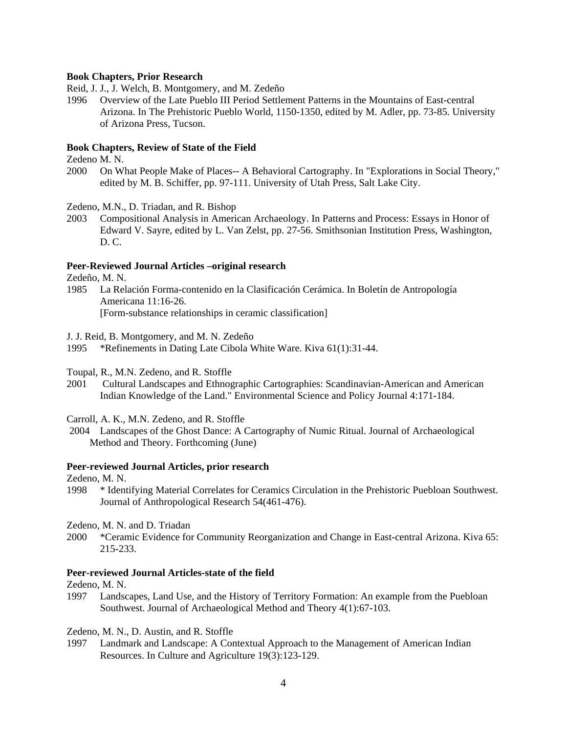# **Book Chapters, Prior Research**

Reid, J. J., J. Welch, B. Montgomery, and M. Zedeño

1996 Overview of the Late Pueblo III Period Settlement Patterns in the Mountains of East-central Arizona. In The Prehistoric Pueblo World, 1150-1350, edited by M. Adler, pp. 73-85. University of Arizona Press, Tucson.

# **Book Chapters, Review of State of the Field**

Zedeno M. N.

2000 On What People Make of Places-- A Behavioral Cartography. In "Explorations in Social Theory," edited by M. B. Schiffer, pp. 97-111. University of Utah Press, Salt Lake City.

Zedeno, M.N., D. Triadan, and R. Bishop

2003 Compositional Analysis in American Archaeology. In Patterns and Process: Essays in Honor of Edward V. Sayre, edited by L. Van Zelst, pp. 27-56. Smithsonian Institution Press, Washington, D. C.

# **Peer-Reviewed Journal Articles –original research**

Zedeño, M. N.

1985 La Relación Forma-contenido en la Clasificación Cerámica. In Boletín de Antropología Americana 11:16-26. [Form-substance relationships in ceramic classification]

J. J. Reid, B. Montgomery, and M. N. Zedeño

1995 \*Refinements in Dating Late Cibola White Ware. Kiva 61(1):31-44.

Toupal, R., M.N. Zedeno, and R. Stoffle

- 2001 Cultural Landscapes and Ethnographic Cartographies: Scandinavian-American and American Indian Knowledge of the Land." Environmental Science and Policy Journal 4:171-184.
- Carroll, A. K., M.N. Zedeno, and R. Stoffle
- 2004 Landscapes of the Ghost Dance: A Cartography of Numic Ritual. Journal of Archaeological Method and Theory. Forthcoming (June)

### **Peer-reviewed Journal Articles, prior research**

Zedeno, M. N.

1998 \* Identifying Material Correlates for Ceramics Circulation in the Prehistoric Puebloan Southwest. Journal of Anthropological Research 54(461-476).

Zedeno, M. N. and D. Triadan

2000 \*Ceramic Evidence for Community Reorganization and Change in East-central Arizona. Kiva 65: 215-233.

## **Peer-reviewed Journal Articles-state of the field**

Zedeno, M. N.

1997 Landscapes, Land Use, and the History of Territory Formation: An example from the Puebloan Southwest. Journal of Archaeological Method and Theory 4(1):67-103.

Zedeno, M. N., D. Austin, and R. Stoffle

1997 Landmark and Landscape: A Contextual Approach to the Management of American Indian Resources. In Culture and Agriculture 19(3):123-129.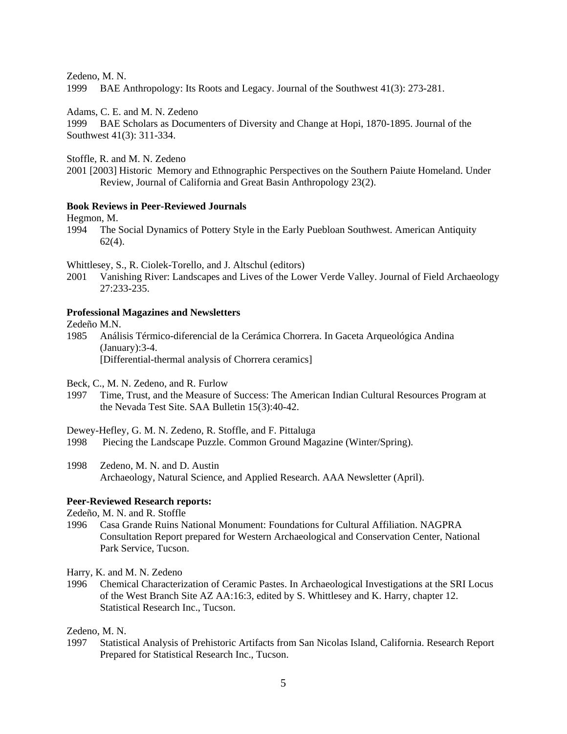Zedeno, M. N.

1999 BAE Anthropology: Its Roots and Legacy. Journal of the Southwest 41(3): 273-281.

Adams, C. E. and M. N. Zedeno

1999 BAE Scholars as Documenters of Diversity and Change at Hopi, 1870-1895. Journal of the Southwest 41(3): 311-334.

Stoffle, R. and M. N. Zedeno

2001 [2003] Historic Memory and Ethnographic Perspectives on the Southern Paiute Homeland. Under Review, Journal of California and Great Basin Anthropology 23(2).

### **Book Reviews in Peer-Reviewed Journals**

Hegmon, M.<br>1994 The S

1994 The Social Dynamics of Pottery Style in the Early Puebloan Southwest. American Antiquity  $62(4)$ .

Whittlesey, S., R. Ciolek-Torello, and J. Altschul (editors)

2001 Vanishing River: Landscapes and Lives of the Lower Verde Valley. Journal of Field Archaeology 27:233-235.

#### **Professional Magazines and Newsletters**

Zedeño M.N.

1985 Análisis Térmico-diferencial de la Cerámica Chorrera. In Gaceta Arqueológica Andina (January):3-4. [Differential-thermal analysis of Chorrera ceramics]

Beck, C., M. N. Zedeno, and R. Furlow

1997 Time, Trust, and the Measure of Success: The American Indian Cultural Resources Program at the Nevada Test Site. SAA Bulletin 15(3):40-42.

Dewey-Hefley, G. M. N. Zedeno, R. Stoffle, and F. Pittaluga

1998 Piecing the Landscape Puzzle. Common Ground Magazine (Winter/Spring).

1998 Zedeno, M. N. and D. Austin Archaeology, Natural Science, and Applied Research. AAA Newsletter (April).

## **Peer-Reviewed Research reports:**

Zedeño, M. N. and R. Stoffle

1996 Casa Grande Ruins National Monument: Foundations for Cultural Affiliation. NAGPRA Consultation Report prepared for Western Archaeological and Conservation Center, National Park Service, Tucson.

Harry, K. and M. N. Zedeno

1996 Chemical Characterization of Ceramic Pastes. In Archaeological Investigations at the SRI Locus of the West Branch Site AZ AA:16:3, edited by S. Whittlesey and K. Harry, chapter 12. Statistical Research Inc., Tucson.

Zedeno, M. N.

1997 Statistical Analysis of Prehistoric Artifacts from San Nicolas Island, California. Research Report Prepared for Statistical Research Inc., Tucson.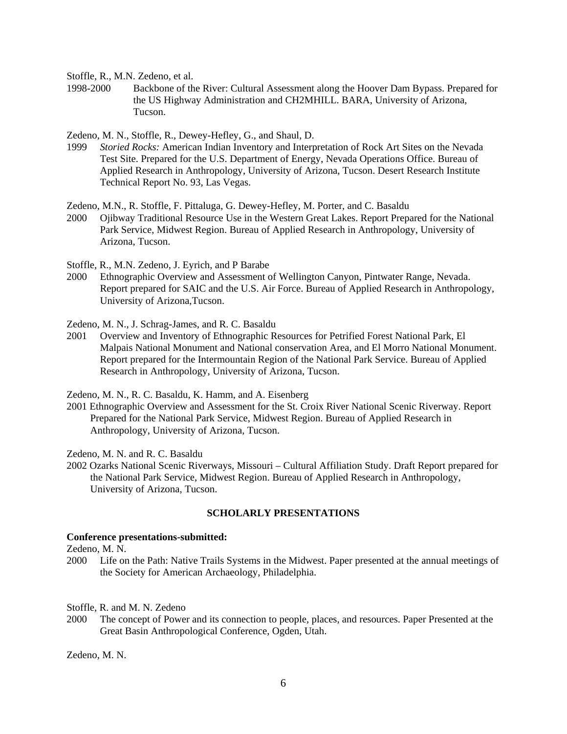Stoffle, R., M.N. Zedeno, et al.

1998-2000 Backbone of the River: Cultural Assessment along the Hoover Dam Bypass. Prepared for the US Highway Administration and CH2MHILL. BARA, University of Arizona, Tucson.

Zedeno, M. N., Stoffle, R., Dewey-Hefley, G., and Shaul, D.

1999 *Storied Rocks:* American Indian Inventory and Interpretation of Rock Art Sites on the Nevada Test Site. Prepared for the U.S. Department of Energy, Nevada Operations Office. Bureau of Applied Research in Anthropology, University of Arizona, Tucson. Desert Research Institute Technical Report No. 93, Las Vegas.

Zedeno, M.N., R. Stoffle, F. Pittaluga, G. Dewey-Hefley, M. Porter, and C. Basaldu

2000 Ojibway Traditional Resource Use in the Western Great Lakes. Report Prepared for the National Park Service, Midwest Region. Bureau of Applied Research in Anthropology, University of Arizona, Tucson.

Stoffle, R., M.N. Zedeno, J. Eyrich, and P Barabe

2000 Ethnographic Overview and Assessment of Wellington Canyon, Pintwater Range, Nevada. Report prepared for SAIC and the U.S. Air Force. Bureau of Applied Research in Anthropology, University of Arizona,Tucson.

Zedeno, M. N., J. Schrag-James, and R. C. Basaldu

2001 Overview and Inventory of Ethnographic Resources for Petrified Forest National Park, El Malpais National Monument and National conservation Area, and El Morro National Monument. Report prepared for the Intermountain Region of the National Park Service. Bureau of Applied Research in Anthropology, University of Arizona, Tucson.

Zedeno, M. N., R. C. Basaldu, K. Hamm, and A. Eisenberg

2001 Ethnographic Overview and Assessment for the St. Croix River National Scenic Riverway. Report Prepared for the National Park Service, Midwest Region. Bureau of Applied Research in Anthropology, University of Arizona, Tucson.

Zedeno, M. N. and R. C. Basaldu

2002 Ozarks National Scenic Riverways, Missouri – Cultural Affiliation Study. Draft Report prepared for the National Park Service, Midwest Region. Bureau of Applied Research in Anthropology, University of Arizona, Tucson.

#### **SCHOLARLY PRESENTATIONS**

#### **Conference presentations-submitted:**

Zedeno, M. N.

2000 Life on the Path: Native Trails Systems in the Midwest. Paper presented at the annual meetings of the Society for American Archaeology, Philadelphia.

Stoffle, R. and M. N. Zedeno

2000 The concept of Power and its connection to people, places, and resources. Paper Presented at the Great Basin Anthropological Conference, Ogden, Utah.

Zedeno, M. N.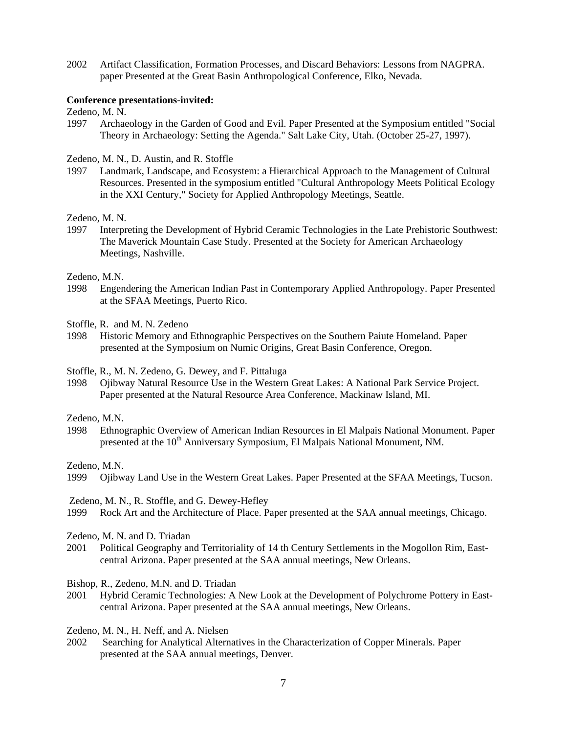2002 Artifact Classification, Formation Processes, and Discard Behaviors: Lessons from NAGPRA. paper Presented at the Great Basin Anthropological Conference, Elko, Nevada.

### **Conference presentations-invited:**

Zedeno, M. N.

1997 Archaeology in the Garden of Good and Evil. Paper Presented at the Symposium entitled "Social Theory in Archaeology: Setting the Agenda." Salt Lake City, Utah. (October 25-27, 1997).

Zedeno, M. N., D. Austin, and R. Stoffle

1997 Landmark, Landscape, and Ecosystem: a Hierarchical Approach to the Management of Cultural Resources. Presented in the symposium entitled "Cultural Anthropology Meets Political Ecology in the XXI Century," Society for Applied Anthropology Meetings, Seattle.

Zedeno, M. N.

1997 Interpreting the Development of Hybrid Ceramic Technologies in the Late Prehistoric Southwest: The Maverick Mountain Case Study. Presented at the Society for American Archaeology Meetings, Nashville.

Zedeno, M.N.

1998 Engendering the American Indian Past in Contemporary Applied Anthropology. Paper Presented at the SFAA Meetings, Puerto Rico.

Stoffle, R. and M. N. Zedeno

1998 Historic Memory and Ethnographic Perspectives on the Southern Paiute Homeland. Paper presented at the Symposium on Numic Origins, Great Basin Conference, Oregon.

Stoffle, R., M. N. Zedeno, G. Dewey, and F. Pittaluga

1998 Ojibway Natural Resource Use in the Western Great Lakes: A National Park Service Project. Paper presented at the Natural Resource Area Conference, Mackinaw Island, MI.

Zedeno, M.N.

1998 Ethnographic Overview of American Indian Resources in El Malpais National Monument. Paper presented at the 10<sup>th</sup> Anniversary Symposium, El Malpais National Monument, NM.

Zedeno, M.N.

1999 Ojibway Land Use in the Western Great Lakes. Paper Presented at the SFAA Meetings, Tucson.

Zedeno, M. N., R. Stoffle, and G. Dewey-Hefley

1999 Rock Art and the Architecture of Place. Paper presented at the SAA annual meetings, Chicago.

Zedeno, M. N. and D. Triadan

- 2001 Political Geography and Territoriality of 14 th Century Settlements in the Mogollon Rim, Eastcentral Arizona. Paper presented at the SAA annual meetings, New Orleans.
- Bishop, R., Zedeno, M.N. and D. Triadan
- 2001 Hybrid Ceramic Technologies: A New Look at the Development of Polychrome Pottery in Eastcentral Arizona. Paper presented at the SAA annual meetings, New Orleans.
- Zedeno, M. N., H. Neff, and A. Nielsen
- 2002 Searching for Analytical Alternatives in the Characterization of Copper Minerals. Paper presented at the SAA annual meetings, Denver.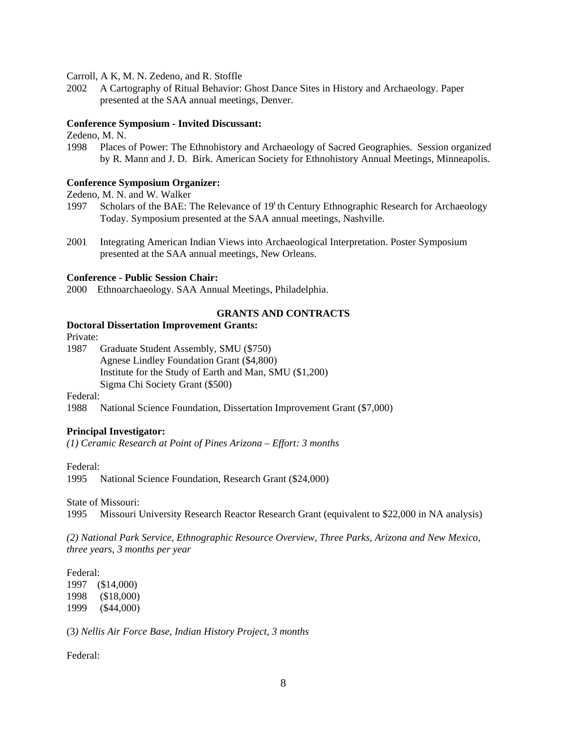Carroll, A K, M. N. Zedeno, and R. Stoffle

2002 A Cartography of Ritual Behavior: Ghost Dance Sites in History and Archaeology. Paper presented at the SAA annual meetings, Denver.

#### **Conference Symposium - Invited Discussant:**

Zedeno, M. N.

1998 Places of Power: The Ethnohistory and Archaeology of Sacred Geographies. Session organized by R. Mann and J. D. Birk. American Society for Ethnohistory Annual Meetings, Minneapolis.

#### **Conference Symposium Organizer:**

Zedeno, M. N. and W. Walker

- 1997 Scholars of the BAE: The Relevance of 19<sup>t</sup> th Century Ethnographic Research for Archaeology Today. Symposium presented at the SAA annual meetings, Nashville.
- 2001 Integrating American Indian Views into Archaeological Interpretation. Poster Symposium presented at the SAA annual meetings, New Orleans.

## **Conference - Public Session Chair:**

2000 Ethnoarchaeology. SAA Annual Meetings, Philadelphia.

## **GRANTS AND CONTRACTS**

### **Doctoral Dissertation Improvement Grants:**

Private:

1987 Graduate Student Assembly, SMU (\$750) Agnese Lindley Foundation Grant (\$4,800) Institute for the Study of Earth and Man, SMU (\$1,200) Sigma Chi Society Grant (\$500)

Federal:

1988 National Science Foundation, Dissertation Improvement Grant (\$7,000)

## **Principal Investigator:**

*(1) Ceramic Research at Point of Pines Arizona – Effort: 3 months* 

Federal:

1995 National Science Foundation, Research Grant (\$24,000)

State of Missouri:

1995 Missouri University Research Reactor Research Grant (equivalent to \$22,000 in NA analysis)

*(2) National Park Service, Ethnographic Resource Overview, Three Parks, Arizona and New Mexico, three years, 3 months per year* 

Federal: 1997 (\$14,000) 1998 (\$18,000) 1999 (\$44,000)

(3*) Nellis Air Force Base, Indian History Project, 3 months* 

Federal: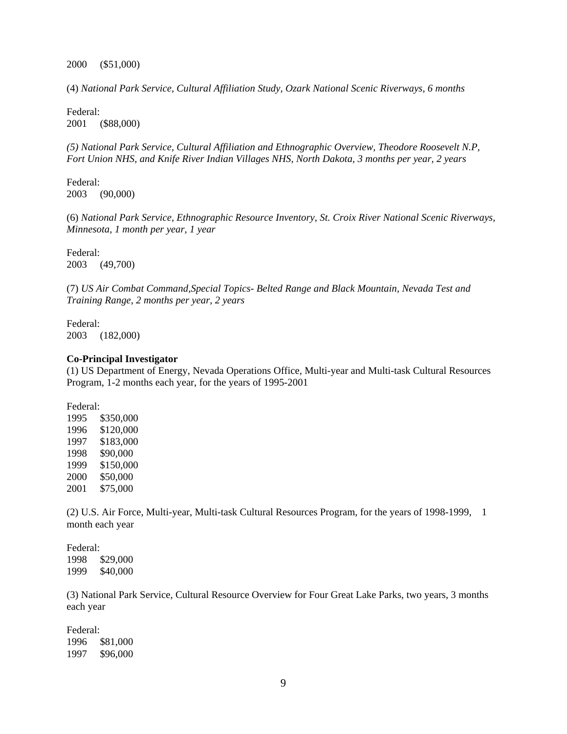2000 (\$51,000)

(4) *National Park Service, Cultural Affiliation Study, Ozark National Scenic Riverways, 6 months* 

Federal: 2001 (\$88,000)

*(5) National Park Service, Cultural Affiliation and Ethnographic Overview, Theodore Roosevelt N.P, Fort Union NHS, and Knife River Indian Villages NHS, North Dakota, 3 months per year, 2 years* 

Federal: 2003 (90,000)

(6) *National Park Service, Ethnographic Resource Inventory, St. Croix River National Scenic Riverways, Minnesota, 1 month per year, 1 year* 

Federal: 2003 (49,700)

(7) *US Air Combat Command,Special Topics- Belted Range and Black Mountain, Nevada Test and Training Range, 2 months per year, 2 years*

Federal: 2003 (182,000)

#### **Co-Principal Investigator**

(1) US Department of Energy, Nevada Operations Office, Multi-year and Multi-task Cultural Resources Program, 1-2 months each year, for the years of 1995-2001

Federal: 1995 \$350,000 1996 \$120,000 1997 \$183,000 1998 \$90,000 1999 \$150,000 2000 \$50,000 2001 \$75,000

(2) U.S. Air Force, Multi-year, Multi-task Cultural Resources Program, for the years of 1998-1999, 1 month each year

Federal: 1998 \$29,000 1999 \$40,000

(3) National Park Service, Cultural Resource Overview for Four Great Lake Parks, two years, 3 months each year

Federal: 1996 \$81,000 1997 \$96,000